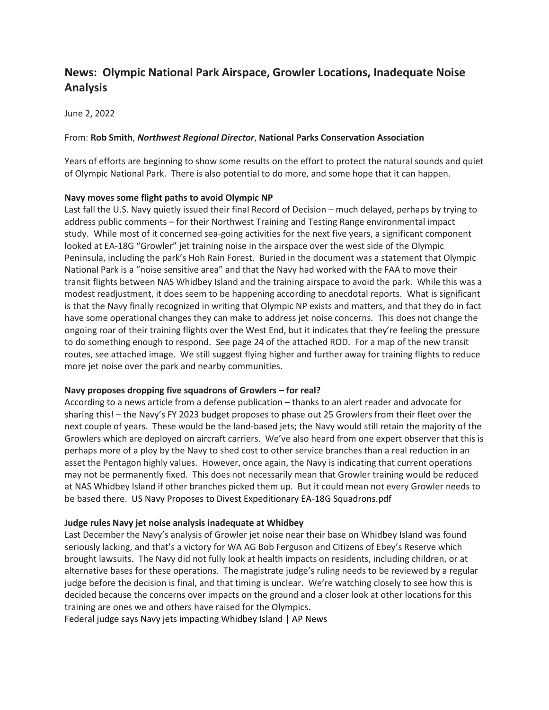# **News: Olympic National Park Airspace, Growler Locations, Inadequate Noise Analysis**

June 2, 2022

### From: **Rob Smith**, *Northwest Regional Director*, **National Parks Conservation Association**

Years of efforts are beginning to show some results on the effort to protect the natural sounds and quiet of Olympic National Park. There is also potential to do more, and some hope that it can happen.

## **Navy moves some flight paths to avoid Olympic NP**

Last fall the U.S. Navy quietly issued their final Record of Decision – much delayed, perhaps by trying to address public comments – for their Northwest Training and Testing Range environmental impact study. While most of it concerned sea-going activities for the next five years, a significant component looked at EA-18G "Growler" jet training noise in the airspace over the west side of the Olympic Peninsula, including the park's Hoh Rain Forest. Buried in the document was a statement that Olympic National Park is a "noise sensitive area" and that the Navy had worked with the FAA to move their transit flights between NAS Whidbey Island and the training airspace to avoid the park. While this was a modest readjustment, it does seem to be happening according to anecdotal reports. What is significant is that the Navy finally recognized in writing that Olympic NP exists and matters, and that they do in fact have some operational changes they can make to address jet noise concerns. This does not change the ongoing roar of their training flights over the West End, but it indicates that they're feeling the pressure to do something enough to respond. See page 24 of the attached ROD. For a map of the new transit routes, see attached image. We still suggest flying higher and further away for training flights to reduce more jet noise over the park and nearby communities.

#### **Navy proposes dropping five squadrons of Growlers – for real?**

According to a news article from a defense publication – thanks to an alert reader and advocate for sharing this! – the Navy's FY 2023 budget proposes to phase out 25 Growlers from their fleet over the next couple of years. These would be the land-based jets; the Navy would still retain the majority of the Growlers which are deployed on aircraft carriers. We've also heard from one expert observer that this is perhaps more of a ploy by the Navy to shed cost to other service branches than a real reduction in an asset the Pentagon highly values. However, once again, the Navy is indicating that current operations may not be permanently fixed. This does not necessarily mean that Growler training would be reduced at NAS Whidbey Island if other branches picked them up. But it could mean not every Growler needs to be based there. US Navy Proposes to Divest Expeditionary EA-18G Squadrons.pdf

# **Judge rules Navy jet noise analysis inadequate at Whidbey**

Last December the Navy's analysis of Growler jet noise near their base on Whidbey Island was found seriously lacking, and that's a victory for WA AG Bob Ferguson and Citizens of Ebey's Reserve which brought lawsuits. The Navy did not fully look at health impacts on residents, including children, or at alternative bases for these operations. The magistrate judge's ruling needs to be reviewed by a regular judge before the decision is final, and that timing is unclear. We're watching closely to see how this is decided because the concerns over impacts on the ground and a closer look at other locations for this training are ones we and others have raised for the Olympics.

[Federal judge says Navy jets impacting Whidbey Island | AP News](https://apnews.com/article/lawsuits-environment-washington-4a4fe56ad457a33592f070a38d39a0e4)